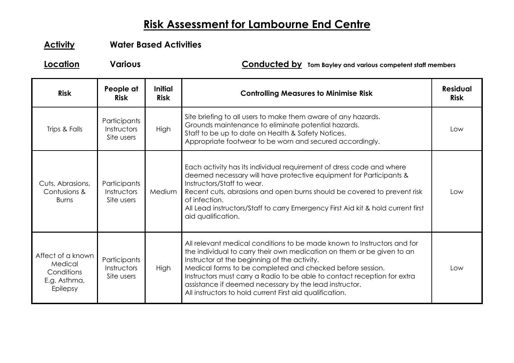## **Risk Assessment for Lambourne End Centre**

## **Activity Water Based Activities**

**Location Various Conducted by Tom Bayley and various competent staff members**

| <b>Risk</b>                                                            | People at<br><b>Risk</b>                  | <b>Initial</b><br><b>Risk</b> | <b>Controlling Measures to Minimise Risk</b>                                                                                                                                                                                                                                                                                                                                                                                                                     | <b>Residual</b><br><b>Risk</b> |
|------------------------------------------------------------------------|-------------------------------------------|-------------------------------|------------------------------------------------------------------------------------------------------------------------------------------------------------------------------------------------------------------------------------------------------------------------------------------------------------------------------------------------------------------------------------------------------------------------------------------------------------------|--------------------------------|
| Trips & Falls                                                          | Participants<br>Instructors<br>Site users | <b>High</b>                   | Site briefing to all users to make them aware of any hazards.<br>Grounds maintenance to eliminate potential hazards.<br>Staff to be up to date on Health & Safety Notices.<br>Appropriate footwear to be worn and secured accordingly.                                                                                                                                                                                                                           | Low                            |
| Cuts, Abrasions,<br>Contusions &<br><b>Burns</b>                       | Participants<br>Instructors<br>Site users | Medium                        | Each activity has its individual requirement of dress code and where<br>deemed necessary will have protective equipment for Participants &<br>Instructors/Staff to wear.<br>Recent cuts, abrasions and open burns should be covered to prevent risk<br>of infection.<br>All Lead instructors/Staff to carry Emergency First Aid kit & hold current first<br>aid qualification.                                                                                   | l ow                           |
| Affect of a known<br>Medical<br>Conditions<br>E.g. Asthma,<br>Epilepsy | Participants<br>Instructors<br>Site users | <b>High</b>                   | All relevant medical conditions to be made known to Instructors and for<br>the individual to carry their own medication on them or be given to an<br>Instructor at the beginning of the activity.<br>Medical forms to be completed and checked before session.<br>Instructors must carry a Radio to be able to contact reception for extra<br>assistance if deemed necessary by the lead instructor.<br>All instructors to hold current First aid qualification. | Low                            |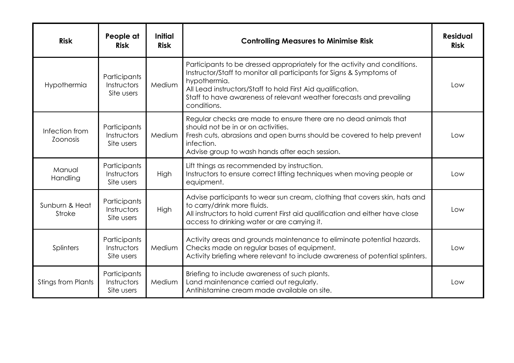| <b>Risk</b>                       | People at<br><b>Risk</b>                  | <b>Initial</b><br><b>Risk</b> | <b>Controlling Measures to Minimise Risk</b>                                                                                                                                                                                                                                                                            | <b>Residual</b><br><b>Risk</b> |
|-----------------------------------|-------------------------------------------|-------------------------------|-------------------------------------------------------------------------------------------------------------------------------------------------------------------------------------------------------------------------------------------------------------------------------------------------------------------------|--------------------------------|
| Hypothermia                       | Participants<br>Instructors<br>Site users | Medium                        | Participants to be dressed appropriately for the activity and conditions.<br>Instructor/Staff to monitor all participants for Signs & Symptoms of<br>hypothermia.<br>All Lead instructors/Staff to hold First Aid qualification.<br>Staff to have awareness of relevant weather forecasts and prevailing<br>conditions. | Low                            |
| Infection from<br><b>Zoonosis</b> | Participants<br>Instructors<br>Site users | Medium                        | Regular checks are made to ensure there are no dead animals that<br>should not be in or on activities.<br>Fresh cuts, abrasions and open burns should be covered to help prevent<br>infection.<br>Advise group to wash hands after each session.                                                                        | Low                            |
| Manual<br>Handling                | Participants<br>Instructors<br>Site users | High                          | Lift things as recommended by instruction.<br>Instructors to ensure correct lifting techniques when moving people or<br>equipment.                                                                                                                                                                                      | Low                            |
| Sunburn & Heat<br><b>Stroke</b>   | Participants<br>Instructors<br>Site users | High                          | Advise participants to wear sun cream, clothing that covers skin, hats and<br>to carry/drink more fluids.<br>All instructors to hold current First aid qualification and either have close<br>access to drinking water or are carrying it.                                                                              | Low                            |
| Splinters                         | Participants<br>Instructors<br>Site users | Medium                        | Activity areas and grounds maintenance to eliminate potential hazards.<br>Checks made on regular bases of equipment.<br>Activity briefing where relevant to include awareness of potential splinters.                                                                                                                   | Low                            |
| <b>Stings from Plants</b>         | Participants<br>Instructors<br>Site users | Medium                        | Briefing to include awareness of such plants.<br>Land maintenance carried out regularly.<br>Antihistamine cream made available on site.                                                                                                                                                                                 | Low                            |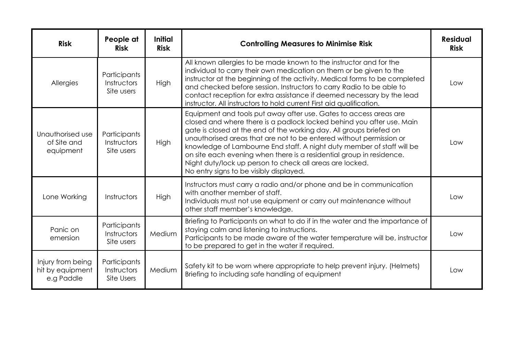| <b>Risk</b>                                         | People at<br><b>Risk</b>                  | <b>Initial</b><br><b>Risk</b> | <b>Controlling Measures to Minimise Risk</b>                                                                                                                                                                                                                                                                                                                                                                                                                                                                                                      | <b>Residual</b><br><b>Risk</b> |
|-----------------------------------------------------|-------------------------------------------|-------------------------------|---------------------------------------------------------------------------------------------------------------------------------------------------------------------------------------------------------------------------------------------------------------------------------------------------------------------------------------------------------------------------------------------------------------------------------------------------------------------------------------------------------------------------------------------------|--------------------------------|
| Allergies                                           | Participants<br>Instructors<br>Site users | <b>High</b>                   | All known allergies to be made known to the instructor and for the<br>individual to carry their own medication on them or be given to the<br>instructor at the beginning of the activity. Medical forms to be completed<br>and checked before session. Instructors to carry Radio to be able to<br>contact reception for extra assistance if deemed necessary by the lead<br>instructor. All instructors to hold current First aid qualification.                                                                                                 | Low                            |
| Unauthorised use<br>of Site and<br>equipment        | Participants<br>Instructors<br>Site users | High                          | Equipment and tools put away after use. Gates to access areas are<br>closed and where there is a padlock locked behind you after use. Main<br>gate is closed at the end of the working day. All groups briefed on<br>unauthorised areas that are not to be entered without permission or<br>knowledge of Lambourne End staff. A night duty member of staff will be<br>on site each evening when there is a residential group in residence.<br>Night duty/lock up person to check all areas are locked.<br>No entry signs to be visibly displayed. | Low                            |
| Lone Working                                        | Instructors                               | <b>High</b>                   | Instructors must carry a radio and/or phone and be in communication<br>with another member of staff.<br>Individuals must not use equipment or carry out maintenance without<br>other staff member's knowledge.                                                                                                                                                                                                                                                                                                                                    | Low                            |
| Panic on<br>emersion                                | Participants<br>Instructors<br>Site users | Medium                        | Briefing to Participants on what to do if in the water and the importance of<br>staying calm and listening to instructions.<br>Participants to be made aware of the water temperature will be, instructor<br>to be prepared to get in the water if required.                                                                                                                                                                                                                                                                                      | Low                            |
| Injury from being<br>hit by equipment<br>e.g Paddle | Participants<br>Instructors<br>Site Users | Medium                        | Safety kit to be worn where appropriate to help prevent injury. (Helmets)<br>Briefing to including safe handling of equipment                                                                                                                                                                                                                                                                                                                                                                                                                     | Low                            |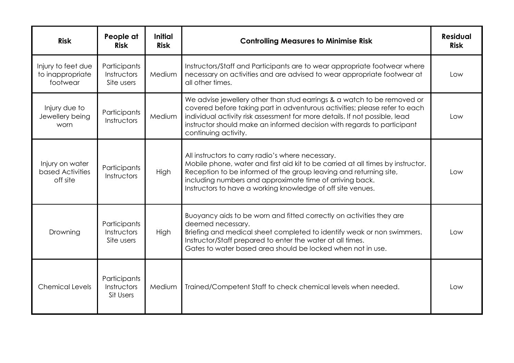| <b>Risk</b>                                        | People at<br><b>Risk</b>                  | <b>Initial</b><br><b>Risk</b> | <b>Controlling Measures to Minimise Risk</b>                                                                                                                                                                                                                                                                                            | <b>Residual</b><br><b>Risk</b> |
|----------------------------------------------------|-------------------------------------------|-------------------------------|-----------------------------------------------------------------------------------------------------------------------------------------------------------------------------------------------------------------------------------------------------------------------------------------------------------------------------------------|--------------------------------|
| Injury to feet due<br>to inappropriate<br>footwear | Participants<br>Instructors<br>Site users | Medium                        | Instructors/Staff and Participants are to wear appropriate footwear where<br>necessary on activities and are advised to wear appropriate footwear at<br>all other times.                                                                                                                                                                | Low                            |
| Injury due to<br>Jewellery being<br>worn           | Participants<br>Instructors               | Medium                        | We advise jewellery other than stud earrings & a watch to be removed or<br>covered before taking part in adventurous activities; please refer to each<br>individual activity risk assessment for more details. If not possible, lead<br>instructor should make an informed decision with regards to participant<br>continuing activity. | Low                            |
| Injury on water<br>based Activities<br>off site    | Participants<br>Instructors               | High                          | All instructors to carry radio's where necessary.<br>Mobile phone, water and first aid kit to be carried at all times by instructor.<br>Reception to be informed of the group leaving and returning site,<br>including numbers and approximate time of arriving back.<br>Instructors to have a working knowledge of off site venues.    | Low                            |
| Drowning                                           | Participants<br>Instructors<br>Site users | <b>High</b>                   | Buoyancy aids to be worn and fitted correctly on activities they are<br>deemed necessary.<br>Briefing and medical sheet completed to identify weak or non swimmers.<br>Instructor/Staff prepared to enter the water at all times.<br>Gates to water based area should be locked when not in use.                                        | l ow                           |
| <b>Chemical Levels</b>                             | Participants<br>Instructors<br>Sit Users  | Medium                        | Trained/Competent Staff to check chemical levels when needed.                                                                                                                                                                                                                                                                           | Low                            |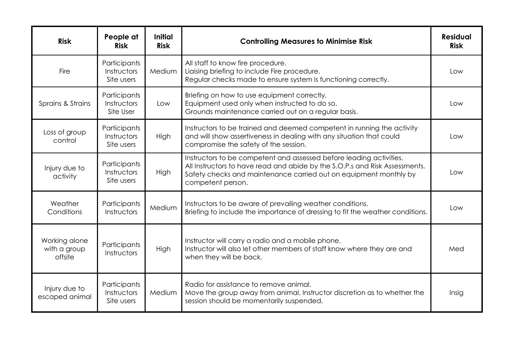| <b>Risk</b>                              | People at<br><b>Risk</b>                  | <b>Initial</b><br><b>Risk</b> | <b>Controlling Measures to Minimise Risk</b>                                                                                                                                                                                                 | <b>Residual</b><br><b>Risk</b> |
|------------------------------------------|-------------------------------------------|-------------------------------|----------------------------------------------------------------------------------------------------------------------------------------------------------------------------------------------------------------------------------------------|--------------------------------|
| Fire                                     | Participants<br>Instructors<br>Site users | Medium                        | All staff to know fire procedure.<br>Liaising briefing to include Fire procedure.<br>Regular checks made to ensure system is functioning correctly.                                                                                          | Low                            |
| Sprains & Strains                        | Participants<br>Instructors<br>Site User  | Low                           | Briefing on how to use equipment correctly.<br>Equipment used only when instructed to do so.<br>Grounds maintenance carried out on a regular basis.                                                                                          | Low                            |
| Loss of group<br>control                 | Participants<br>Instructors<br>Site users | High                          | Instructors to be trained and deemed competent in running the activity<br>and will show assertiveness in dealing with any situation that could<br>compromise the safety of the session.                                                      | Low                            |
| Injury due to<br>activity                | Participants<br>Instructors<br>Site users | High                          | Instructors to be competent and assessed before leading activities.<br>All Instructors to have read and abide by the S.O.P.s and Risk Assessments.<br>Safety checks and maintenance carried out on equipment monthly by<br>competent person. | Low                            |
| Weather<br>Conditions                    | Participants<br>Instructors               | Medium                        | Instructors to be aware of prevailing weather conditions.<br>Briefing to include the importance of dressing to fit the weather conditions.                                                                                                   | Low                            |
| Working alone<br>with a group<br>offsite | Participants<br>Instructors               | High                          | Instructor will carry a radio and a mobile phone.<br>Instructor will also let other members of staff know where they are and<br>when they will be back.                                                                                      | Med                            |
| Injury due to<br>escaped animal          | Participants<br>Instructors<br>Site users | Medium                        | Radio for assistance to remove animal.<br>Move the group away from animal, Instructor discretion as to whether the<br>session should be momentarily suspended.                                                                               | Insig                          |